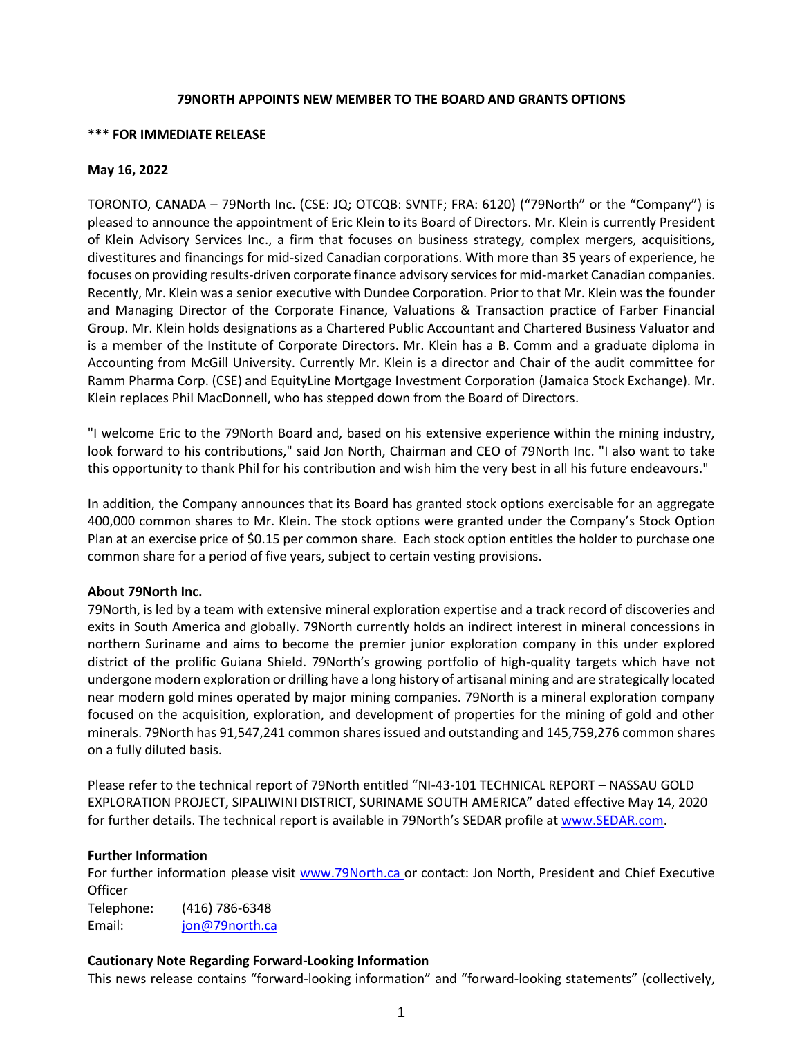### **79NORTH APPOINTS NEW MEMBER TO THE BOARD AND GRANTS OPTIONS**

### **\*\*\* FOR IMMEDIATE RELEASE**

## **May 16, 2022**

TORONTO, CANADA – 79North Inc. (CSE: JQ; OTCQB: SVNTF; FRA: 6120) ("79North" or the "Company") is pleased to announce the appointment of Eric Klein to its Board of Directors. Mr. Klein is currently President of Klein Advisory Services Inc., a firm that focuses on business strategy, complex mergers, acquisitions, divestitures and financings for mid-sized Canadian corporations. With more than 35 years of experience, he focuses on providing results-driven corporate finance advisory services for mid-market Canadian companies. Recently, Mr. Klein was a senior executive with Dundee Corporation. Prior to that Mr. Klein was the founder and Managing Director of the Corporate Finance, Valuations & Transaction practice of Farber Financial Group. Mr. Klein holds designations as a Chartered Public Accountant and Chartered Business Valuator and is a member of the Institute of Corporate Directors. Mr. Klein has a B. Comm and a graduate diploma in Accounting from McGill University. Currently Mr. Klein is a director and Chair of the audit committee for Ramm Pharma Corp. (CSE) and EquityLine Mortgage Investment Corporation (Jamaica Stock Exchange). Mr. Klein replaces Phil MacDonnell, who has stepped down from the Board of Directors.

"I welcome Eric to the 79North Board and, based on his extensive experience within the mining industry, look forward to his contributions," said Jon North, Chairman and CEO of 79North Inc. "I also want to take this opportunity to thank Phil for his contribution and wish him the very best in all his future endeavours."

In addition, the Company announces that its Board has granted stock options exercisable for an aggregate 400,000 common shares to Mr. Klein. The stock options were granted under the Company's Stock Option Plan at an exercise price of \$0.15 per common share. Each stock option entitles the holder to purchase one common share for a period of five years, subject to certain vesting provisions.

# **About 79North Inc.**

79North, is led by a team with extensive mineral exploration expertise and a track record of discoveries and exits in South America and globally. 79North currently holds an indirect interest in mineral concessions in northern Suriname and aims to become the premier junior exploration company in this under explored district of the prolific Guiana Shield. 79North's growing portfolio of high-quality targets which have not undergone modern exploration or drilling have a long history of artisanal mining and are strategically located near modern gold mines operated by major mining companies. 79North is a mineral exploration company focused on the acquisition, exploration, and development of properties for the mining of gold and other minerals. 79North has 91,547,241 common shares issued and outstanding and 145,759,276 common shares on a fully diluted basis.

Please refer to the technical report of 79North entitled "NI-43-101 TECHNICAL REPORT – NASSAU GOLD EXPLORATION PROJECT, SIPALIWINI DISTRICT, SURINAME SOUTH AMERICA" dated effective May 14, 2020 for further details. The technical report is available in 79North's SEDAR profile at [www.SEDAR.com.](http://www.sedar.com/)

#### **Further Information**

For further information please visit [www.79North.ca o](http://www.79north.ca/)r contact: Jon North, President and Chief Executive **Officer** Telephone: (416) 786-6348

Email: [jon@79north.ca](mailto:jon@79north.ca)

# **Cautionary Note Regarding Forward-Looking Information**

This news release contains "forward-looking information" and "forward-looking statements" (collectively,